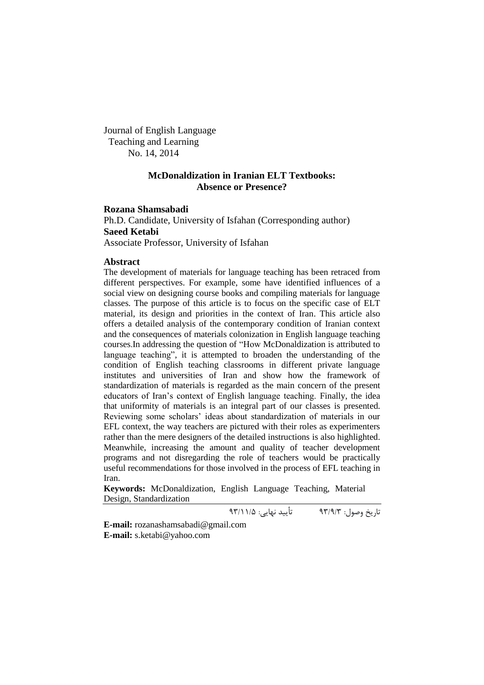Journal of English Language Teaching and Learning No. 14, 2014

# **McDonaldization in Iranian ELT Textbooks: Absence or Presence?**

# **Rozana Shamsabadi**

Ph.D. Candidate, University of Isfahan (Corresponding author) **Saeed Ketabi**

Associate Professor, University of Isfahan

# **Abstract**

The development of materials for language teaching has been retraced from different perspectives. For example, some have identified influences of a social view on designing course books and compiling materials for language classes. The purpose of this article is to focus on the specific case of ELT material, its design and priorities in the context of Iran. This article also offers a detailed analysis of the contemporary condition of Iranian context and the consequences of materials colonization in English language teaching courses.In addressing the question of "How McDonaldization is attributed to language teaching", it is attempted to broaden the understanding of the condition of English teaching classrooms in different private language institutes and universities of Iran and show how the framework of standardization of materials is regarded as the main concern of the present educators of Iran"s context of English language teaching. Finally, the idea that uniformity of materials is an integral part of our classes is presented. Reviewing some scholars" ideas about standardization of materials in our EFL context, the way teachers are pictured with their roles as experimenters rather than the mere designers of the detailed instructions is also highlighted. Meanwhile, increasing the amount and quality of teacher development programs and not disregarding the role of teachers would be practically useful recommendations for those involved in the process of EFL teaching in Iran.

**Keywords:** McDonaldization, English Language Teaching, Material Design, Standardization

تاریخ وصول: 93/9/3 تأیید نهایی: 93/11/5

**E-mail:** [rozanashamsabadi@gmail.com](mailto:rozanashamsabadi@gmail.com) **E-mail:** [s.ketabi@yahoo.com](mailto:s.ketabi@yahoo.com)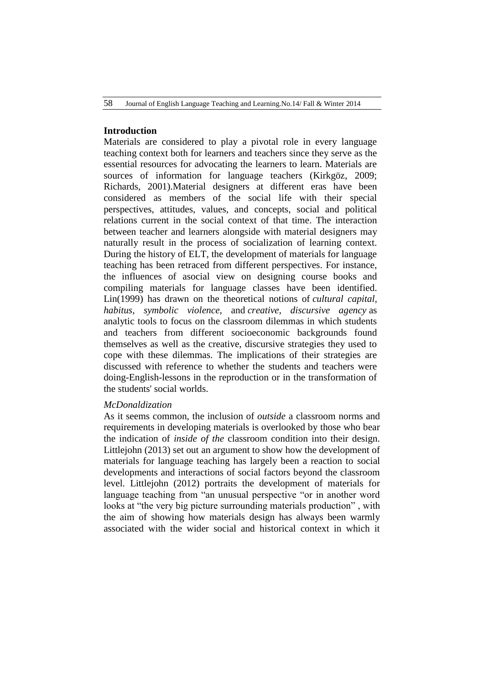# **Introduction**

Materials are considered to play a pivotal role in every language teaching context both for learners and teachers since they serve as the essential resources for advocating the learners to learn. Materials are sources of information for language teachers (Kirkgöz, 2009; Richards, 2001).Material designers at different eras have been considered as members of the social life with their special perspectives, attitudes, values, and concepts, social and political relations current in the social context of that time. The interaction between teacher and learners alongside with material designers may naturally result in the process of socialization of learning context. During the history of ELT, the development of materials for language teaching has been retraced from different perspectives. For instance, the influences of asocial view on designing course books and compiling materials for language classes have been identified. Lin(1999) has drawn on the theoretical notions of *cultural capital, habitus, symbolic violence*, and *creative, discursive agency* as analytic tools to focus on the classroom dilemmas in which students and teachers from different socioeconomic backgrounds found themselves as well as the creative, discursive strategies they used to cope with these dilemmas. The implications of their strategies are discussed with reference to whether the students and teachers were doing-English-lessons in the reproduction or in the transformation of the students' social worlds.

#### *McDonaldization*

As it seems common, the inclusion of *outside* a classroom norms and requirements in developing materials is overlooked by those who bear the indication of *inside of the* classroom condition into their design. Littlejohn (2013) set out an argument to show how the development of materials for language teaching has largely been a reaction to social developments and interactions of social factors beyond the classroom level. Littlejohn (2012) portraits the development of materials for language teaching from "an unusual perspective "or in another word looks at "the very big picture surrounding materials production" , with the aim of showing how materials design has always been warmly associated with the wider social and historical context in which it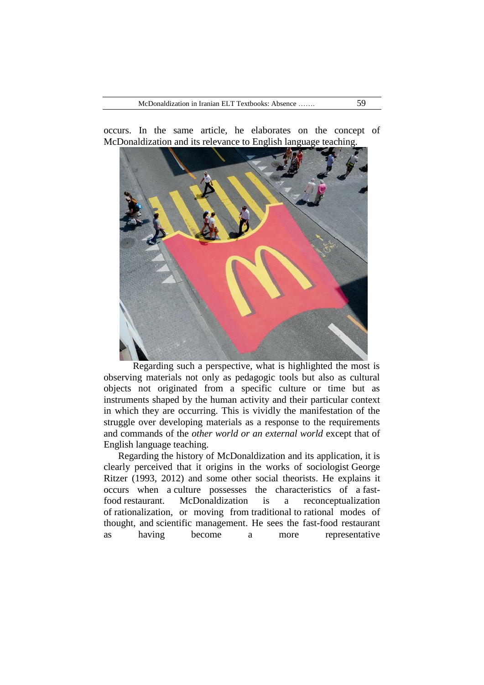occurs. In the same article, he elaborates on the concept of McDonaldization and its relevance to English language teaching.

Regarding such a perspective, what is highlighted the most is observing materials not only as pedagogic tools but also as cultural objects not originated from a specific culture or time but as instruments shaped by the human activity and their particular context in which they are occurring. This is vividly the manifestation of the struggle over developing materials as a response to the requirements and commands of the *other world or an external world* except that of English language teaching.

Regarding the history of McDonaldization and its application, it is clearly perceived that it origins in the works of [sociologist](http://en.wikipedia.org/wiki/Sociologist) [George](http://en.wikipedia.org/wiki/George_Ritzer)  [Ritzer](http://en.wikipedia.org/wiki/George_Ritzer) (1993, 2012) and some other social theorists. He explains it occurs when a [culture](http://en.wikipedia.org/wiki/Culture) possesses the characteristics of a [fast](http://en.wikipedia.org/wiki/Fast-food)[food](http://en.wikipedia.org/wiki/Fast-food) restaurant. McDonaldization is a reconceptualization of [rationalization,](http://en.wikipedia.org/wiki/Rationalization_(sociology)) or moving from [traditional](http://en.wikipedia.org/wiki/Traditional) to [rational](http://en.wikipedia.org/wiki/Rationality) modes of thought, and [scientific management.](http://en.wikipedia.org/wiki/Scientific_management) He sees the fast-food restaurant as having become a more representative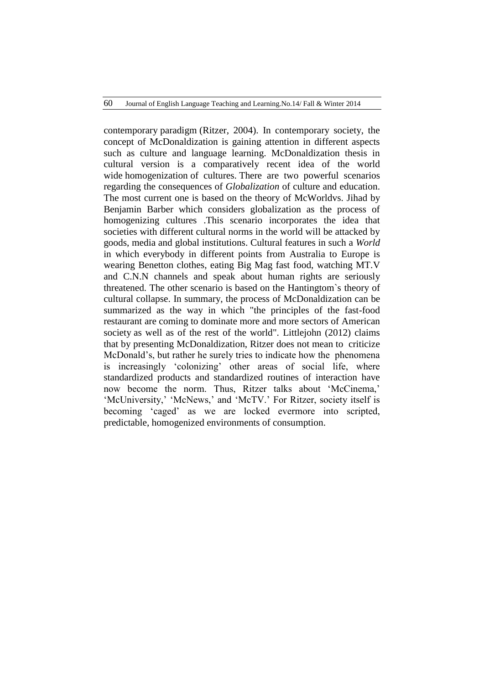contemporary [paradigm](http://en.wikipedia.org/wiki/Paradigm) (Ritzer, 2004). In contemporary society, the concept of McDonaldization is gaining attention in different aspects such as culture and language learning. McDonaldization thesis in cultural version is a comparatively recent idea of the world wide [homogenization](http://en.wiktionary.org/wiki/homogenize) of cultures. There are two powerful scenarios regarding the consequences of *Globalization* of culture and education. The most current one is based on the theory of McWorldvs. Jihad by Benjamin Barber which considers globalization as the process of homogenizing cultures .This scenario incorporates the idea that societies with different cultural norms in the world will be attacked by goods, media and global institutions. Cultural features in such a *World* in which everybody in different points from Australia to Europe is wearing Benetton clothes, eating Big Mag fast food, watching MT.V and C.N.N channels and speak about human rights are seriously threatened. The other scenario is based on the Hantingtom`s theory of cultural collapse. In summary, the process of McDonaldization can be summarized as the way in which "the principles of the fast-food restaurant are coming to dominate more and more sectors of [American](http://en.wikipedia.org/wiki/American_society)  [society](http://en.wikipedia.org/wiki/American_society) as well as of the rest of the world". Littlejohn (2012) claims that by presenting McDonaldization, Ritzer does not mean to criticize McDonald's, but rather he surely tries to indicate how the phenomena is increasingly "colonizing" other areas of social life, where standardized products and standardized routines of interaction have now become the norm. Thus, Ritzer talks about 'McCinema,' 'McUniversity,' 'McNews,' and 'McTV.' For Ritzer, society itself is becoming "caged" as we are locked evermore into scripted, predictable, homogenized environments of consumption.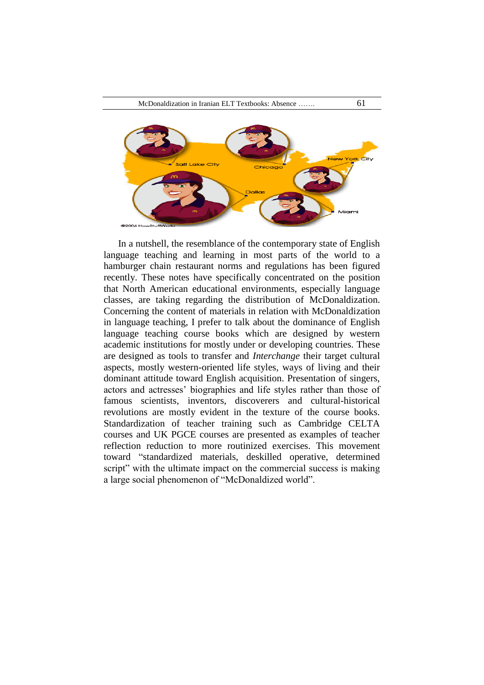

In a nutshell, the resemblance of the contemporary state of English language teaching and learning in most parts of the world to a hamburger chain restaurant norms and regulations has been figured recently. These notes have specifically concentrated on the position that North American educational environments, especially language classes, are taking regarding the distribution of McDonaldization. Concerning the content of materials in relation with McDonaldization in language teaching, I prefer to talk about the dominance of English language teaching course books which are designed by western academic institutions for mostly under or developing countries. These are designed as tools to transfer and *Interchange* their target cultural aspects, mostly western-oriented life styles, ways of living and their dominant attitude toward English acquisition. Presentation of singers, actors and actresses" biographies and life styles rather than those of famous scientists, inventors, discoverers and cultural-historical revolutions are mostly evident in the texture of the course books. Standardization of teacher training such as Cambridge CELTA courses and UK PGCE courses are presented as examples of teacher reflection reduction to more routinized exercises. This movement toward "standardized materials, deskilled operative, determined script" with the ultimate impact on the commercial success is making a large social phenomenon of "McDonaldized world".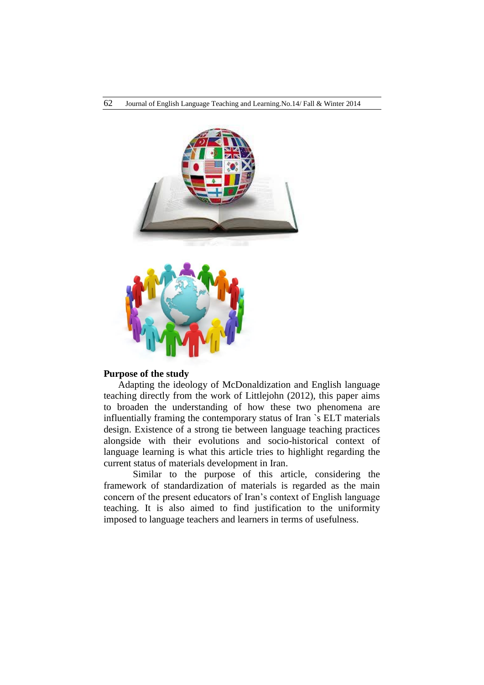

# **Purpose of the study**

Adapting the ideology of McDonaldization and English language teaching directly from the work of Littlejohn (2012), this paper aims to broaden the understanding of how these two phenomena are influentially framing the contemporary status of Iran `s ELT materials design. Existence of a strong tie between language teaching practices alongside with their evolutions and socio-historical context of language learning is what this article tries to highlight regarding the current status of materials development in Iran.

Similar to the purpose of this article, considering the framework of standardization of materials is regarded as the main concern of the present educators of Iran"s context of English language teaching. It is also aimed to find justification to the uniformity imposed to language teachers and learners in terms of usefulness.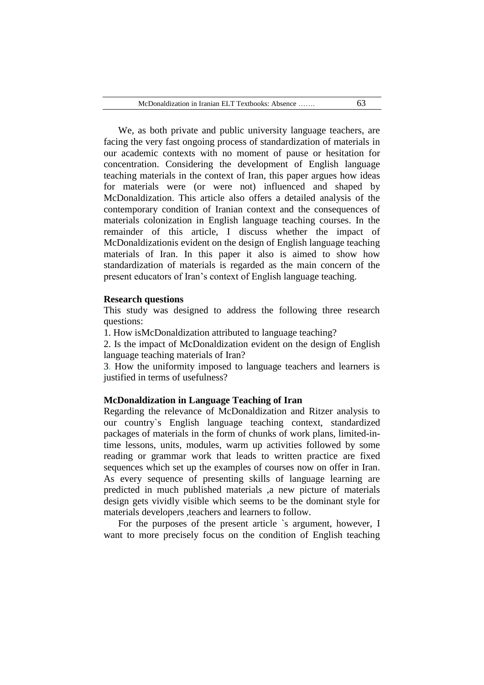We, as both private and public university language teachers, are facing the very fast ongoing process of standardization of materials in our academic contexts with no moment of pause or hesitation for concentration. Considering the development of English language teaching materials in the context of Iran, this paper argues how ideas for materials were (or were not) influenced and shaped by McDonaldization. This article also offers a detailed analysis of the contemporary condition of Iranian context and the consequences of materials colonization in English language teaching courses. In the remainder of this article, I discuss whether the impact of McDonaldizationis evident on the design of English language teaching materials of Iran. In this paper it also is aimed to show how standardization of materials is regarded as the main concern of the present educators of Iran"s context of English language teaching.

#### **Research questions**

This study was designed to address the following three research questions:

1. How isMcDonaldization attributed to language teaching?

2. Is the impact of McDonaldization evident on the design of English language teaching materials of Iran?

3. How the uniformity imposed to language teachers and learners is justified in terms of usefulness?

# **McDonaldization in Language Teaching of Iran**

Regarding the relevance of McDonaldization and Ritzer analysis to our country`s English language teaching context, standardized packages of materials in the form of chunks of work plans, limited-intime lessons, units, modules, warm up activities followed by some reading or grammar work that leads to written practice are fixed sequences which set up the examples of courses now on offer in Iran. As every sequence of presenting skills of language learning are predicted in much published materials ,a new picture of materials design gets vividly visible which seems to be the dominant style for materials developers ,teachers and learners to follow.

For the purposes of the present article `s argument, however, I want to more precisely focus on the condition of English teaching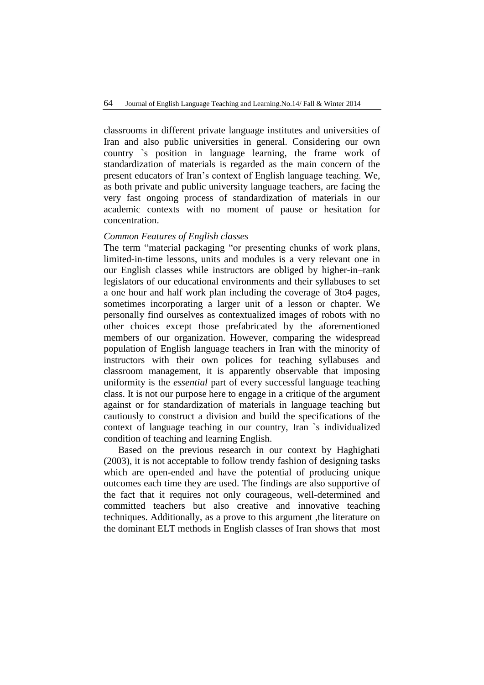classrooms in different private language institutes and universities of Iran and also public universities in general. Considering our own country `s position in language learning, the frame work of standardization of materials is regarded as the main concern of the present educators of Iran"s context of English language teaching. We, as both private and public university language teachers, are facing the very fast ongoing process of standardization of materials in our academic contexts with no moment of pause or hesitation for concentration.

# *Common Features of English classes*

The term "material packaging "or presenting chunks of work plans, limited-in-time lessons, units and modules is a very relevant one in our English classes while instructors are obliged by higher-in–rank legislators of our educational environments and their syllabuses to set a one hour and half work plan including the coverage of 3to4 pages, sometimes incorporating a larger unit of a lesson or chapter. We personally find ourselves as contextualized images of robots with no other choices except those prefabricated by the aforementioned members of our organization. However, comparing the widespread population of English language teachers in Iran with the minority of instructors with their own polices for teaching syllabuses and classroom management, it is apparently observable that imposing uniformity is the *essential* part of every successful language teaching class. It is not our purpose here to engage in a critique of the argument against or for standardization of materials in language teaching but cautiously to construct a division and build the specifications of the context of language teaching in our country, Iran `s individualized condition of teaching and learning English.

Based on the previous research in our context by Haghighati (2003), it is not acceptable to follow trendy fashion of designing tasks which are open-ended and have the potential of producing unique outcomes each time they are used. The findings are also supportive of the fact that it requires not only courageous, well-determined and committed teachers but also creative and innovative teaching techniques. Additionally, as a prove to this argument ,the literature on the dominant ELT methods in English classes of Iran shows that most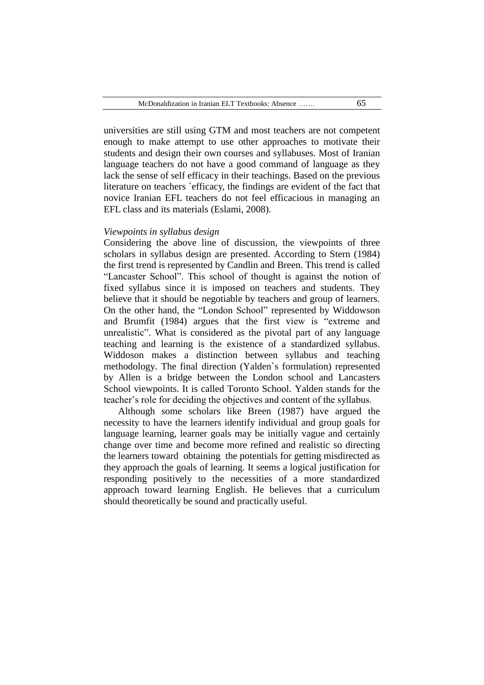universities are still using GTM and most teachers are not competent enough to make attempt to use other approaches to motivate their students and design their own courses and syllabuses. Most of Iranian language teachers do not have a good command of language as they lack the sense of self efficacy in their teachings. Based on the previous literature on teachers `efficacy, the findings are evident of the fact that novice Iranian EFL teachers do not feel efficacious in managing an EFL class and its materials (Eslami, 2008).

# *Viewpoints in syllabus design*

Considering the above line of discussion, the viewpoints of three scholars in syllabus design are presented. According to Stern (1984) the first trend is represented by Candlin and Breen. This trend is called "Lancaster School". This school of thought is against the notion of fixed syllabus since it is imposed on teachers and students. They believe that it should be negotiable by teachers and group of learners. On the other hand, the "London School" represented by Widdowson and Brumfit (1984) argues that the first view is "extreme and unrealistic". What is considered as the pivotal part of any language teaching and learning is the existence of a standardized syllabus. Widdoson makes a distinction between syllabus and teaching methodology. The final direction (Yalden`s formulation) represented by Allen is a bridge between the London school and Lancasters School viewpoints. It is called Toronto School. Yalden stands for the teacher"s role for deciding the objectives and content of the syllabus.

Although some scholars like Breen (1987) have argued the necessity to have the learners identify individual and group goals for language learning, learner goals may be initially vague and certainly change over time and become more refined and realistic so directing the learners toward obtaining the potentials for getting misdirected as they approach the goals of learning. It seems a logical justification for responding positively to the necessities of a more standardized approach toward learning English. He believes that a curriculum should theoretically be sound and practically useful.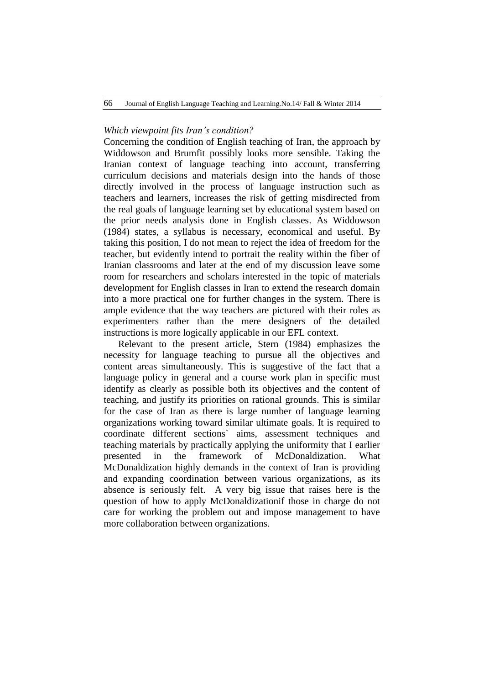# *Which viewpoint fits Iran's condition?*

Concerning the condition of English teaching of Iran, the approach by Widdowson and Brumfit possibly looks more sensible. Taking the Iranian context of language teaching into account, transferring curriculum decisions and materials design into the hands of those directly involved in the process of language instruction such as teachers and learners, increases the risk of getting misdirected from the real goals of language learning set by educational system based on the prior needs analysis done in English classes. As Widdowson (1984) states, a syllabus is necessary, economical and useful. By taking this position, I do not mean to reject the idea of freedom for the teacher, but evidently intend to portrait the reality within the fiber of Iranian classrooms and later at the end of my discussion leave some room for researchers and scholars interested in the topic of materials development for English classes in Iran to extend the research domain into a more practical one for further changes in the system. There is ample evidence that the way teachers are pictured with their roles as experimenters rather than the mere designers of the detailed instructions is more logically applicable in our EFL context.

Relevant to the present article, Stern (1984) emphasizes the necessity for language teaching to pursue all the objectives and content areas simultaneously. This is suggestive of the fact that a language policy in general and a course work plan in specific must identify as clearly as possible both its objectives and the content of teaching, and justify its priorities on rational grounds. This is similar for the case of Iran as there is large number of language learning organizations working toward similar ultimate goals. It is required to coordinate different sections` aims, assessment techniques and teaching materials by practically applying the uniformity that I earlier presented in the framework of McDonaldization. What McDonaldization highly demands in the context of Iran is providing and expanding coordination between various organizations, as its absence is seriously felt. A very big issue that raises here is the question of how to apply McDonaldizationif those in charge do not care for working the problem out and impose management to have more collaboration between organizations.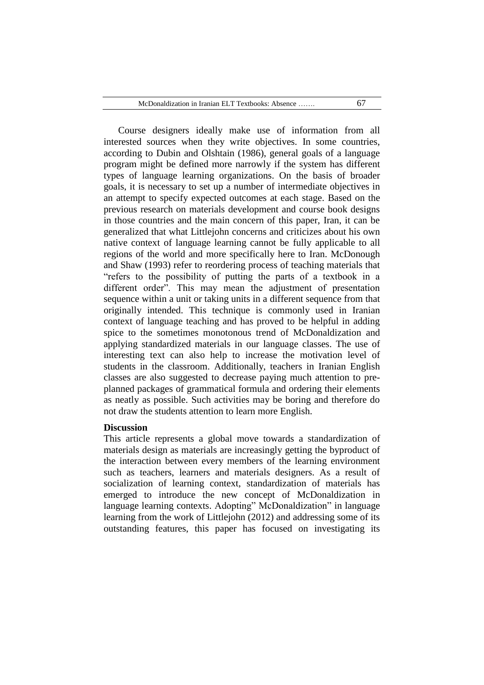Course designers ideally make use of information from all interested sources when they write objectives. In some countries, according to Dubin and Olshtain (1986), general goals of a language program might be defined more narrowly if the system has different types of language learning organizations. On the basis of broader goals, it is necessary to set up a number of intermediate objectives in an attempt to specify expected outcomes at each stage. Based on the previous research on materials development and course book designs in those countries and the main concern of this paper, Iran, it can be generalized that what Littlejohn concerns and criticizes about his own native context of language learning cannot be fully applicable to all regions of the world and more specifically here to Iran. McDonough and Shaw (1993) refer to reordering process of teaching materials that "refers to the possibility of putting the parts of a textbook in a different order". This may mean the adjustment of presentation sequence within a unit or taking units in a different sequence from that originally intended. This technique is commonly used in Iranian context of language teaching and has proved to be helpful in adding spice to the sometimes monotonous trend of McDonaldization and applying standardized materials in our language classes. The use of interesting text can also help to increase the motivation level of students in the classroom. Additionally, teachers in Iranian English classes are also suggested to decrease paying much attention to preplanned packages of grammatical formula and ordering their elements as neatly as possible. Such activities may be boring and therefore do not draw the students attention to learn more English.

#### **Discussion**

This article represents a global move towards a standardization of materials design as materials are increasingly getting the byproduct of the interaction between every members of the learning environment such as teachers, learners and materials designers. As a result of socialization of learning context, standardization of materials has emerged to introduce the new concept of McDonaldization in language learning contexts. Adopting" McDonaldization" in language learning from the work of Littlejohn (2012) and addressing some of its outstanding features, this paper has focused on investigating its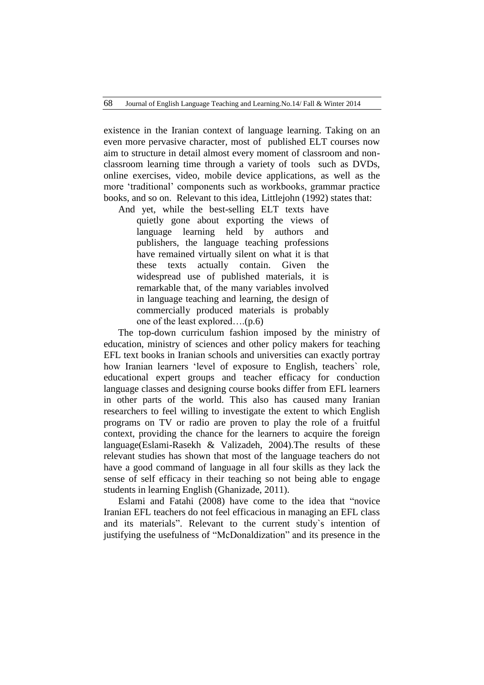existence in the Iranian context of language learning. Taking on an even more pervasive character, most of published ELT courses now aim to structure in detail almost every moment of classroom and nonclassroom learning time through a variety of tools such as DVDs, online exercises, video, mobile device applications, as well as the more "traditional" components such as workbooks, grammar practice books, and so on. Relevant to this idea, Littlejohn (1992) states that:

And yet, while the best-selling ELT texts have quietly gone about exporting the views of language learning held by authors and publishers, the language teaching professions have remained virtually silent on what it is that these texts actually contain. Given the widespread use of published materials, it is remarkable that, of the many variables involved in language teaching and learning, the design of commercially produced materials is probably one of the least explored….(p.6)

The top-down curriculum fashion imposed by the ministry of education, ministry of sciences and other policy makers for teaching EFL text books in Iranian schools and universities can exactly portray how Iranian learners "level of exposure to English, teachers` role, educational expert groups and teacher efficacy for conduction language classes and designing course books differ from EFL learners in other parts of the world. This also has caused many Iranian researchers to feel willing to investigate the extent to which English programs on TV or radio are proven to play the role of a fruitful context, providing the chance for the learners to acquire the foreign language(Eslami-Rasekh & Valizadeh, 2004).The results of these relevant studies has shown that most of the language teachers do not have a good command of language in all four skills as they lack the sense of self efficacy in their teaching so not being able to engage students in learning English (Ghanizade, 2011).

Eslami and Fatahi (2008) have come to the idea that "novice Iranian EFL teachers do not feel efficacious in managing an EFL class and its materials". Relevant to the current study`s intention of justifying the usefulness of "McDonaldization" and its presence in the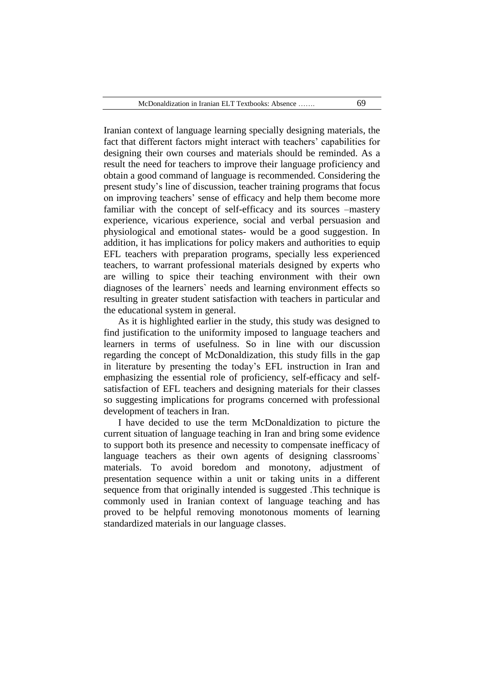Iranian context of language learning specially designing materials, the fact that different factors might interact with teachers' capabilities for designing their own courses and materials should be reminded. As a result the need for teachers to improve their language proficiency and obtain a good command of language is recommended. Considering the present study"s line of discussion, teacher training programs that focus on improving teachers" sense of efficacy and help them become more familiar with the concept of self-efficacy and its sources –mastery experience, vicarious experience, social and verbal persuasion and physiological and emotional states- would be a good suggestion. In addition, it has implications for policy makers and authorities to equip EFL teachers with preparation programs, specially less experienced teachers, to warrant professional materials designed by experts who are willing to spice their teaching environment with their own diagnoses of the learners` needs and learning environment effects so resulting in greater student satisfaction with teachers in particular and the educational system in general.

As it is highlighted earlier in the study, this study was designed to find justification to the uniformity imposed to language teachers and learners in terms of usefulness. So in line with our discussion regarding the concept of McDonaldization, this study fills in the gap in literature by presenting the today"s EFL instruction in Iran and emphasizing the essential role of proficiency, self-efficacy and selfsatisfaction of EFL teachers and designing materials for their classes so suggesting implications for programs concerned with professional development of teachers in Iran.

I have decided to use the term McDonaldization to picture the current situation of language teaching in Iran and bring some evidence to support both its presence and necessity to compensate inefficacy of language teachers as their own agents of designing classrooms` materials. To avoid boredom and monotony, adjustment of presentation sequence within a unit or taking units in a different sequence from that originally intended is suggested .This technique is commonly used in Iranian context of language teaching and has proved to be helpful removing monotonous moments of learning standardized materials in our language classes.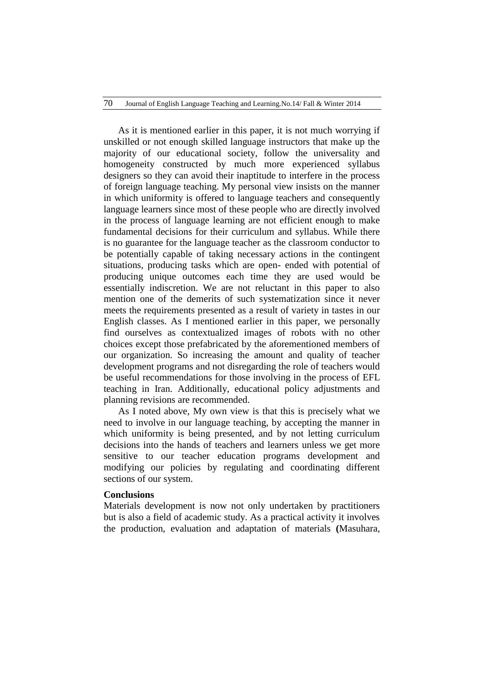As it is mentioned earlier in this paper, it is not much worrying if unskilled or not enough skilled language instructors that make up the majority of our educational society, follow the universality and homogeneity constructed by much more experienced syllabus designers so they can avoid their inaptitude to interfere in the process of foreign language teaching. My personal view insists on the manner in which uniformity is offered to language teachers and consequently language learners since most of these people who are directly involved in the process of language learning are not efficient enough to make fundamental decisions for their curriculum and syllabus. While there is no guarantee for the language teacher as the classroom conductor to be potentially capable of taking necessary actions in the contingent situations, producing tasks which are open- ended with potential of producing unique outcomes each time they are used would be essentially indiscretion. We are not reluctant in this paper to also mention one of the demerits of such systematization since it never meets the requirements presented as a result of variety in tastes in our English classes. As I mentioned earlier in this paper, we personally find ourselves as contextualized images of robots with no other choices except those prefabricated by the aforementioned members of our organization. So increasing the amount and quality of teacher development programs and not disregarding the role of teachers would be useful recommendations for those involving in the process of EFL teaching in Iran. Additionally, educational policy adjustments and planning revisions are recommended.

As I noted above, My own view is that this is precisely what we need to involve in our language teaching, by accepting the manner in which uniformity is being presented, and by not letting curriculum decisions into the hands of teachers and learners unless we get more sensitive to our teacher education programs development and modifying our policies by regulating and coordinating different sections of our system.

# **Conclusions**

Materials development is now not only undertaken by practitioners but is also a field of academic study. As a practical activity it involves the production, evaluation and adaptation of materials **(**Masuhara,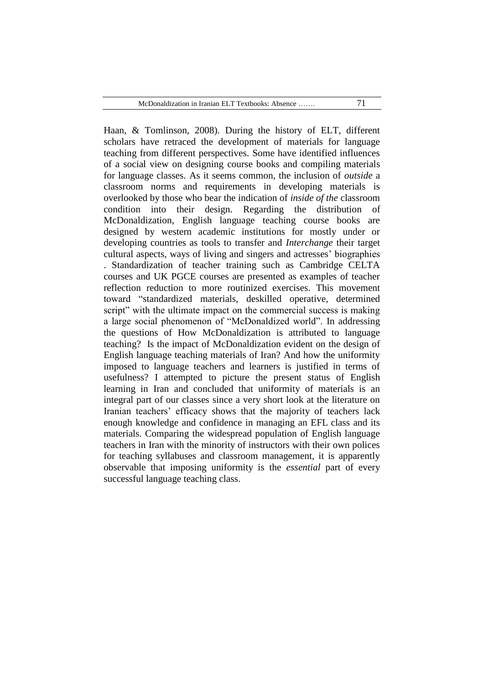Haan, & Tomlinson, 2008). During the history of ELT, different scholars have retraced the development of materials for language teaching from different perspectives. Some have identified influences of a social view on designing course books and compiling materials for language classes. As it seems common, the inclusion of *outside* a classroom norms and requirements in developing materials is overlooked by those who bear the indication of *inside of the* classroom condition into their design. Regarding the distribution of McDonaldization, English language teaching course books are designed by western academic institutions for mostly under or developing countries as tools to transfer and *Interchange* their target cultural aspects, ways of living and singers and actresses" biographies . Standardization of teacher training such as Cambridge CELTA courses and UK PGCE courses are presented as examples of teacher reflection reduction to more routinized exercises. This movement toward "standardized materials, deskilled operative, determined script" with the ultimate impact on the commercial success is making a large social phenomenon of "McDonaldized world". In addressing the questions of How McDonaldization is attributed to language teaching? Is the impact of McDonaldization evident on the design of English language teaching materials of Iran? And how the uniformity imposed to language teachers and learners is justified in terms of usefulness? I attempted to picture the present status of English learning in Iran and concluded that uniformity of materials is an integral part of our classes since a very short look at the literature on Iranian teachers" efficacy shows that the majority of teachers lack enough knowledge and confidence in managing an EFL class and its materials. Comparing the widespread population of English language teachers in Iran with the minority of instructors with their own polices for teaching syllabuses and classroom management, it is apparently observable that imposing uniformity is the *essential* part of every successful language teaching class.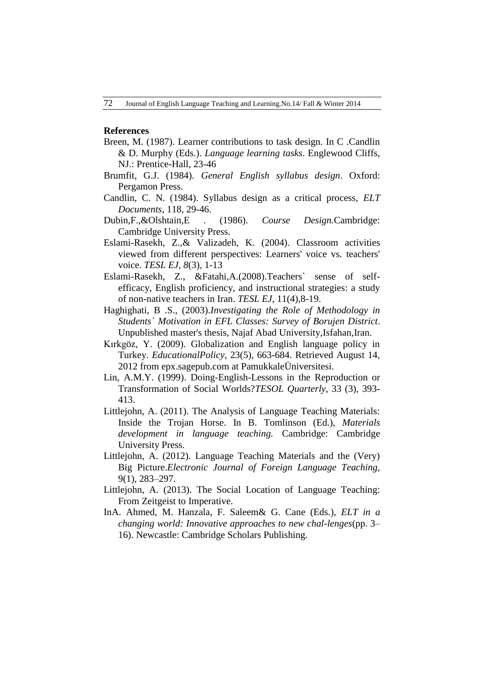## **References**

- Breen, M. (1987). Learner contributions to task design. In C .Candlin & D. Murphy (Eds.). *Language learning tasks*. Englewood Cliffs, NJ.: Prentice-Hall, 23-46
- Brumfit, G.J. (1984). *General English syllabus design*. Oxford: Pergamon Press.
- Candlin, C. N. (1984). Syllabus design as a critical process, *ELT Documents*, 118, 29-46.
- Dubin,F.,&Olshtain,E . (1986). *Course Design.*Cambridge: Cambridge University Press.
- Eslami-Rasekh, Z.,& Valizadeh, K. (2004). Classroom activities viewed from different perspectives: Learners' voice vs. teachers' voice. *TESL EJ, 8*(3)*,* 1-13
- Eslami-Rasekh, Z., &Fatahi,A.(2008).Teachers` sense of selfefficacy, English proficiency, and instructional strategies: a study of non-native teachers in Iran. *TESL EJ,* 11(4),8-19.
- Haghighati, B .S., (2003).*Investigating the Role of Methodology in Students` Motivation in EFL Classes: Survey of Borujen District*. Unpublished master's thesis, Najaf Abad University,Isfahan,Iran.
- Kırkgöz, Y. (2009). Globalization and English language policy in Turkey. *EducationalPolicy*, 23(5), 663-684. Retrieved August 14, 2012 from epx.sagepub.com at PamukkaleÜniversitesi.
- Lin, A.M.Y. (1999). Doing-English-Lessons in the Reproduction or Transformation of Social Worlds?*TESOL Quarterly*, 33 (3), 393- 413.
- Littlejohn, A. (2011). The Analysis of Language Teaching Materials: Inside the Trojan Horse. In B. Tomlinson (Ed.), *Materials development in language teaching.* Cambridge: Cambridge University Press.
- Littlejohn, A. (2012). Language Teaching Materials and the (Very) Big Picture.*Electronic Journal of Foreign Language Teaching,* 9(1), 283–297.
- Littlejohn, A. (2013). The Social Location of Language Teaching: From Zeitgeist to Imperative.
- InA. Ahmed, M. Hanzala, F. Saleem& G. Cane (Eds.), *ELT in a changing world: Innovative approaches to new chal-lenges*(pp. 3– 16). Newcastle: Cambridge Scholars Publishing.